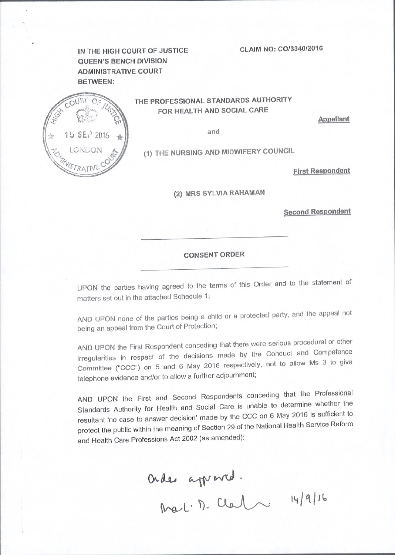CLAIM NO: CO/3340/2016

IN THE HIGH COURT OF JUSTICE **QUEEN'S BENCH DIVISION ADMINISTRATIVE COURT BETWEEN:** 



THE PROFESSIONAL STANDARDS AUTHORITY FOR HEALTH AND SOCIAL CARE

**Appellant** 

and

(1) THE NURSING AND MIDWIFERY COUNCIL

**First Respondent** 

(2) MRS SYLVIA RAHAMAN

**Second Respondent** 

# **CONSENT ORDER**

UPON the parties having agreed to the terms of this Order and to the statement of matters set out in the attached Schedule 1;

AND UPON none of the parties being a child or a protected party, and the appeal not being an appeal from the Court of Protection;

AND UPON the First Respondent conceding that there were serious procedural or other irregularities in respect of the decisions made by the Conduct and Competence Committee ("CCC") on 5 and 6 May 2016 respectively, not to allow Ms 3 to give telephone evidence and/or to allow a further adjournment;

AND UPON the First and Second Respondents conceding that the Professional Standards Authority for Health and Social Care is unable to determine whether the resultant 'no case to answer decision' made by the CCC on 6 May 2016 is sufficient to protect the public within the meaning of Section 29 of the National Health Service Reform and Health Care Professions Act 2002 (as amended);

Order appared.<br>Mel. D. Clark 14/9/16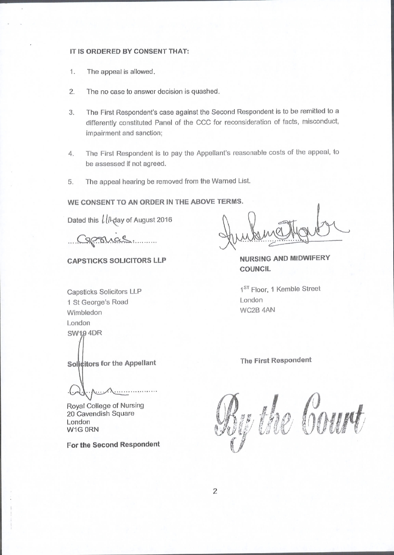### IT IS ORDERED BY CONSENT THAT:

1. The appeal is allowed.

 $\alpha$ 

- 2. The no case to answer decision is quashed.
- The First Respondent's case against the Second Respondent is to be remitted to a 3. differently constituted Panel of the CCC for reconsideration of facts, misconduct, impairmeni and sanction;
- The First Respondent is to pay the Appellant's reasonable costs of the appeal, to be assessed if not agreed. 4.
- The appeal hearing be removed from the Warned List. 5.

WE CONSENT TO AN ORDER IN THE ABOVE TERMS.

Dated this  $\iota$  *[I* $\lambda$ <sub>day</sub> of August 2016

CAPSTICKS SOLICITORS LLP

NURSING AND MIDWIFERY COUNGIL

Capsticks Solicitors LLP 1 St George's Road Wimbledon London **SW194DR** 

Solicitors for the Appellant

Royal College of Nursing 20 Cavendish Square London W1G ORN

For the Second Respondent

1<sup>ST</sup> Floor, 1 Kemble Street London WC2B 4AN

#### The First Respondent

the Court tf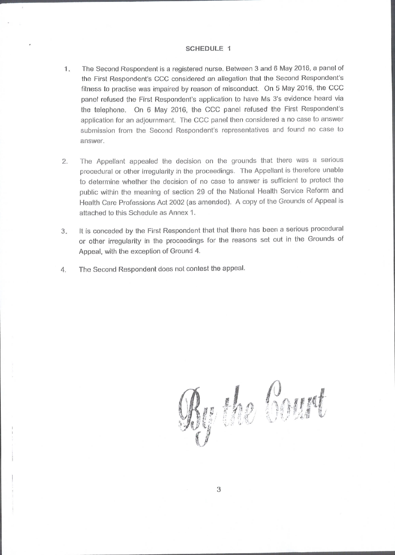#### SCHEDULE <sup>1</sup>

- 1. The Second Respondent is a registered nurse. Between 3 and 6 May 2016, a panel of the First Respondent's CCC considered an allegation that the Second Respondent's fitness to practise was impaired by reason of misconduct. On 5 May 2016, the CCC panel refused the First Respondent's application to have Ms 3's evidence heard via the telephone. On 6 May 2016, the CCC panel refused the First Respondent's application for an adjournment. The CCC panel then considered a no case to answer submission from the Second Respondent's representatives and found no case to answer.
- The Appellant appealed the decision on the grounds that there was a serious  $2.$ procedural or other irregularity in the proceedings. The Appellant is therefore unable to determine whether the decision of no case to answer is sufficient to protect the public within the meaning of section 29 of the National Health Service Reform and Health Care Professions Act 2002 (as amended). A copy of the Grounds of Appeal is attached to this Schedule as Annex 1.
- It is conceded by the First Respondent that that there has been a serious procedural or other irregularity in the proceedings for the reasons sel out in the Grounds of Appeal, with the exceplion of Ground 4. 3.
- The Second Respondent does not contest the appeal. 4.

En bourt